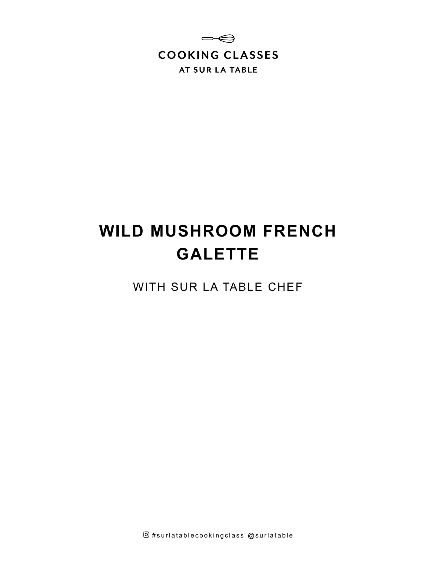

# **WILD MUSHROOM FRENCH GALETTE**

WITH SUR LA TABLE CHEF

 $@$ #surlatablecookingclass  $@$ surlatable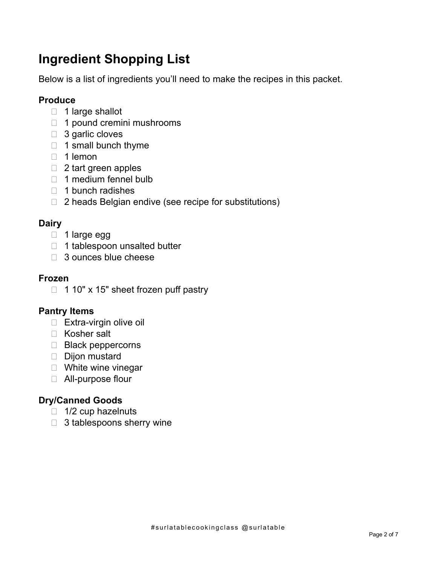# **Ingredient Shopping List**

Below is a list of ingredients you'll need to make the recipes in this packet.

### **Produce**

- $\Box$  1 large shallot
- 1 pound cremini mushrooms
- □ 3 garlic cloves
- $\Box$  1 small bunch thyme
- $\Box$  1 lemon
- □ 2 tart green apples
- 1 medium fennel bulb
- $\Box$  1 bunch radishes
- □ 2 heads Belgian endive (see recipe for substitutions)

### **Dairy**

- 1 large egg
- $\Box$  1 tablespoon unsalted butter
- 3 ounces blue cheese

### **Frozen**

 $\Box$  1 10" x 15" sheet frozen puff pastry

### **Pantry Items**

- $\Box$  Extra-virgin olive oil
- □ Kosher salt
- $\Box$  Black peppercorns
- Dijon mustard
- □ White wine vinegar
- All-purpose flour

# **Dry/Canned Goods**

- $\Box$  1/2 cup hazelnuts
- □ 3 tablespoons sherry wine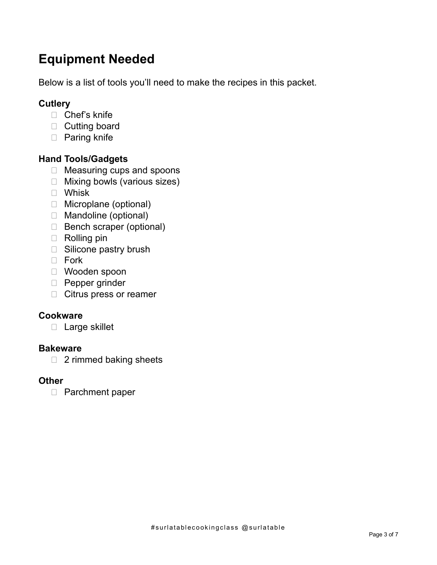# **Equipment Needed**

Below is a list of tools you'll need to make the recipes in this packet.

## **Cutlery**

- □ Chef's knife
- D Cutting board
- □ Paring knife

### **Hand Tools/Gadgets**

- □ Measuring cups and spoons
- □ Mixing bowls (various sizes)
- Whisk
- □ Microplane (optional)
- Mandoline (optional)
- Bench scraper (optional)
- $\Box$  Rolling pin
- □ Silicone pastry brush
- D Fork
- Wooden spoon
- **Pepper grinder**
- Citrus press or reamer

### **Cookware**

□ Large skillet

### **Bakeware**

□ 2 rimmed baking sheets

### **Other**

□ Parchment paper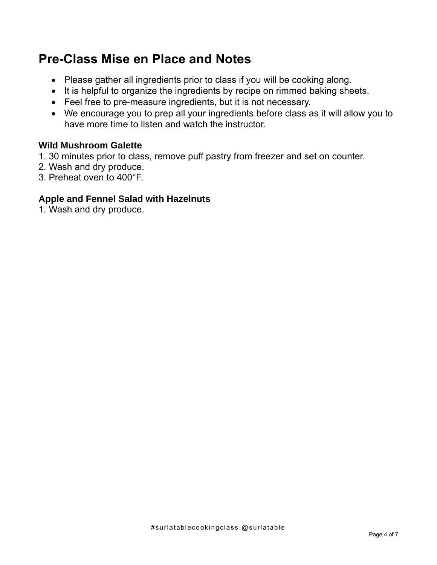# **Pre-Class Mise en Place and Notes**

- Please gather all ingredients prior to class if you will be cooking along.
- It is helpful to organize the ingredients by recipe on rimmed baking sheets.
- Feel free to pre-measure ingredients, but it is not necessary.
- We encourage you to prep all your ingredients before class as it will allow you to have more time to listen and watch the instructor.

### **Wild Mushroom Galette**

- 1. 30 minutes prior to class, remove puff pastry from freezer and set on counter.
- 2. Wash and dry produce.
- 3. Preheat oven to 400°F.

### **Apple and Fennel Salad with Hazelnuts**

1. Wash and dry produce.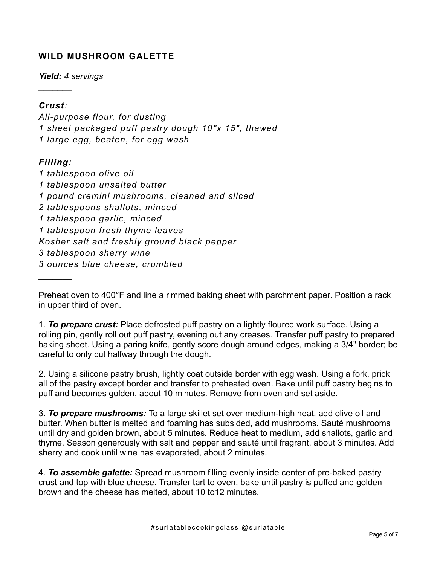### **WILD MUSHROOM GALETTE**

*Yield: 4 servings*

### *Crust:*

 $\frac{1}{2}$ 

*All-purpose flour, for dusting 1 sheet packaged puff pastry dough 10"x 15", thawed 1 large egg, beaten, for egg wash*

### *Filling:*

 $\frac{1}{2}$ 

*1 tablespoon olive oil 1 tablespoon unsalted butter 1 pound cremini mushrooms, cleaned and sliced 2 tablespoons shallots, minced 1 tablespoon garlic, minced 1 tablespoon fresh thyme leaves Kosher salt and freshly ground black pepper 3 tablespoon sherry wine 3 ounces blue cheese, crumbled*

Preheat oven to 400°F and line a rimmed baking sheet with parchment paper. Position a rack in upper third of oven.

1. *To prepare crust:* Place defrosted puff pastry on a lightly floured work surface. Using a rolling pin, gently roll out puff pastry, evening out any creases. Transfer puff pastry to prepared baking sheet. Using a paring knife, gently score dough around edges, making a 3/4" border; be careful to only cut halfway through the dough.

2. Using a silicone pastry brush, lightly coat outside border with egg wash. Using a fork, prick all of the pastry except border and transfer to preheated oven. Bake until puff pastry begins to puff and becomes golden, about 10 minutes. Remove from oven and set aside.

3. *To prepare mushrooms:* To a large skillet set over medium-high heat, add olive oil and butter. When butter is melted and foaming has subsided, add mushrooms. Sauté mushrooms until dry and golden brown, about 5 minutes. Reduce heat to medium, add shallots, garlic and thyme. Season generously with salt and pepper and sauté until fragrant, about 3 minutes. Add sherry and cook until wine has evaporated, about 2 minutes.

4. *To assemble galette:* Spread mushroom filling evenly inside center of pre-baked pastry crust and top with blue cheese. Transfer tart to oven, bake until pastry is puffed and golden brown and the cheese has melted, about 10 to12 minutes.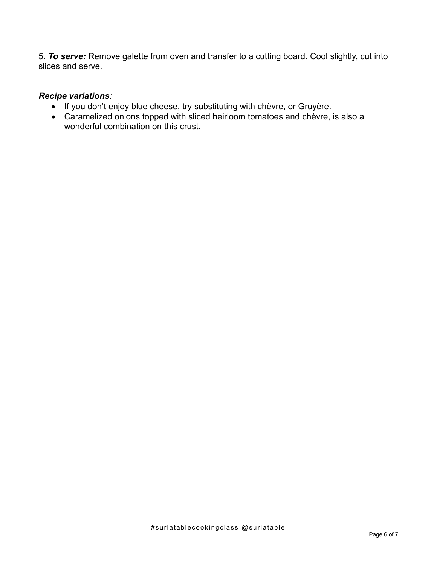5. *To serve:* Remove galette from oven and transfer to a cutting board. Cool slightly, cut into slices and serve.

### *Recipe variations:*

- If you don't enjoy blue cheese, try substituting with chèvre, or Gruyère.
- Caramelized onions topped with sliced heirloom tomatoes and chèvre, is also a wonderful combination on this crust.